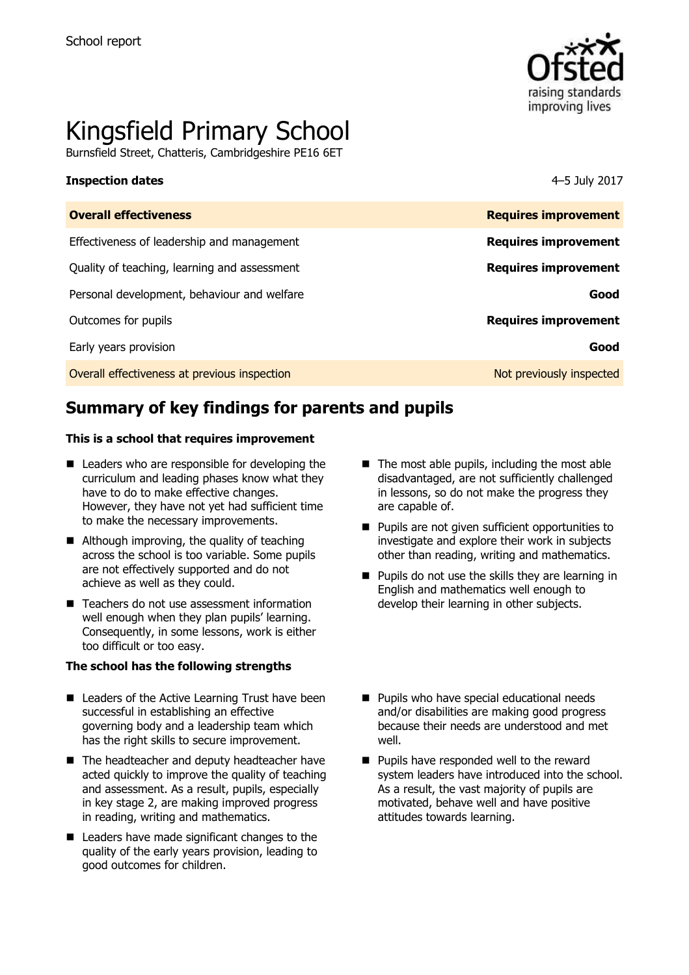

# Kingsfield Primary School

Burnsfield Street, Chatteris, Cambridgeshire PE16 6ET

#### **Inspection dates** 4–5 July 2017

| <b>Requires improvement</b> |
|-----------------------------|
| <b>Requires improvement</b> |
| <b>Requires improvement</b> |
| Good                        |
| <b>Requires improvement</b> |
| Good                        |
| Not previously inspected    |
|                             |

# **Summary of key findings for parents and pupils**

#### **This is a school that requires improvement**

- Leaders who are responsible for developing the curriculum and leading phases know what they have to do to make effective changes. However, they have not yet had sufficient time to make the necessary improvements.
- Although improving, the quality of teaching across the school is too variable. Some pupils are not effectively supported and do not achieve as well as they could.
- Teachers do not use assessment information well enough when they plan pupils' learning. Consequently, in some lessons, work is either too difficult or too easy.

#### **The school has the following strengths**

- Leaders of the Active Learning Trust have been successful in establishing an effective governing body and a leadership team which has the right skills to secure improvement.
- The headteacher and deputy headteacher have acted quickly to improve the quality of teaching and assessment. As a result, pupils, especially in key stage 2, are making improved progress in reading, writing and mathematics.
- Leaders have made significant changes to the quality of the early years provision, leading to good outcomes for children.
- $\blacksquare$  The most able pupils, including the most able disadvantaged, are not sufficiently challenged in lessons, so do not make the progress they are capable of.
- **Pupils are not given sufficient opportunities to** investigate and explore their work in subjects other than reading, writing and mathematics.
- $\blacksquare$  Pupils do not use the skills they are learning in English and mathematics well enough to develop their learning in other subjects.
- **Pupils who have special educational needs** and/or disabilities are making good progress because their needs are understood and met well.
- **Pupils have responded well to the reward** system leaders have introduced into the school. As a result, the vast majority of pupils are motivated, behave well and have positive attitudes towards learning.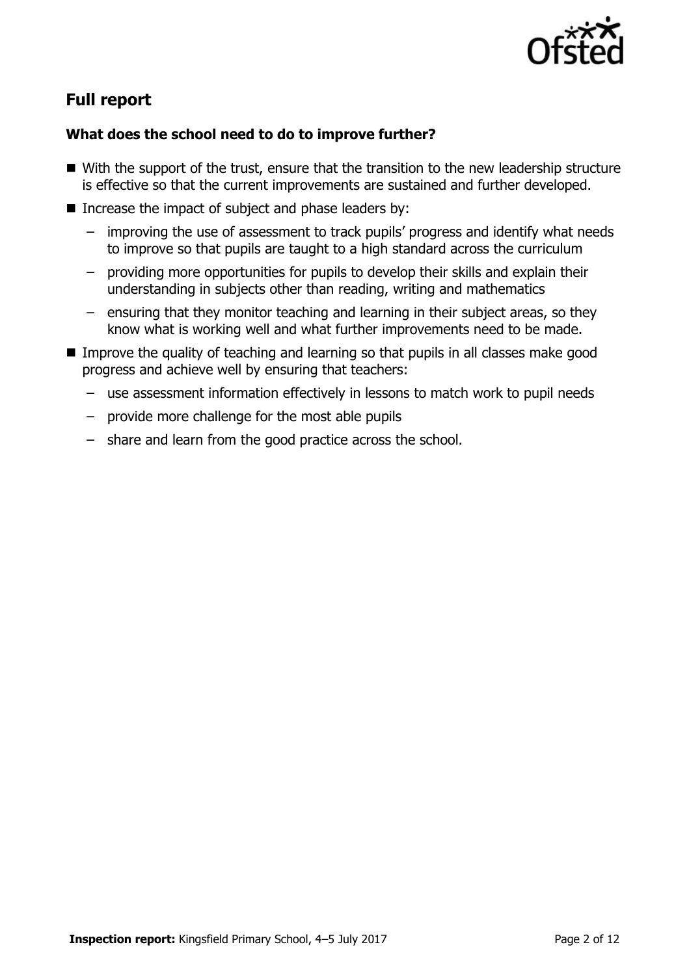

# **Full report**

### **What does the school need to do to improve further?**

- With the support of the trust, ensure that the transition to the new leadership structure is effective so that the current improvements are sustained and further developed.
- Increase the impact of subject and phase leaders by:
	- improving the use of assessment to track pupils' progress and identify what needs to improve so that pupils are taught to a high standard across the curriculum
	- providing more opportunities for pupils to develop their skills and explain their understanding in subjects other than reading, writing and mathematics
	- ensuring that they monitor teaching and learning in their subject areas, so they know what is working well and what further improvements need to be made.
- Improve the quality of teaching and learning so that pupils in all classes make good progress and achieve well by ensuring that teachers:
	- use assessment information effectively in lessons to match work to pupil needs
	- provide more challenge for the most able pupils
	- share and learn from the good practice across the school.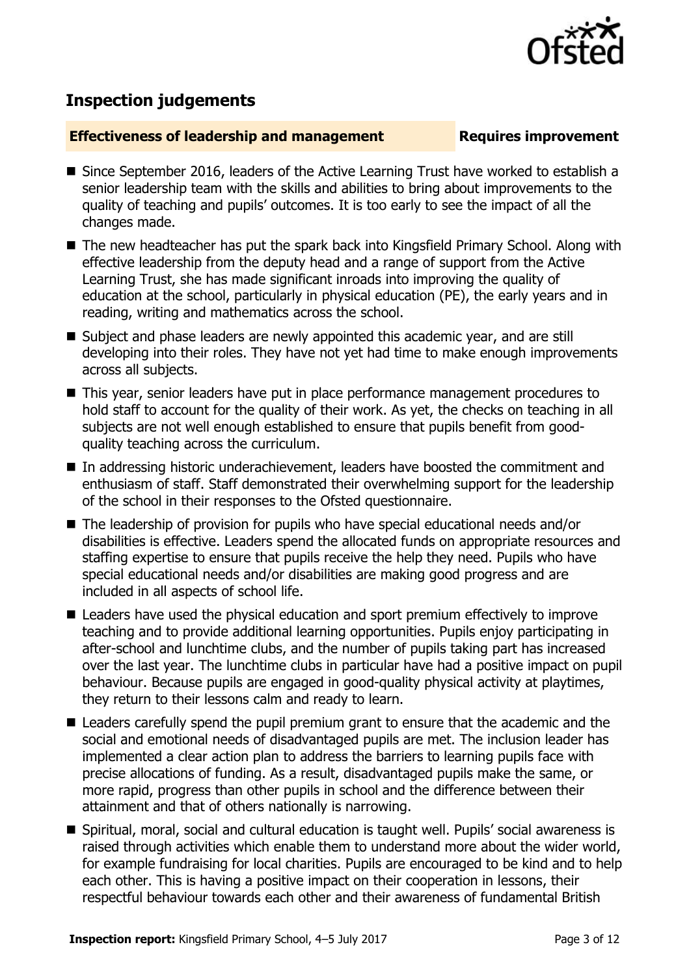

# **Inspection judgements**

#### **Effectiveness of leadership and management Requires improvement**

- Since September 2016, leaders of the Active Learning Trust have worked to establish a senior leadership team with the skills and abilities to bring about improvements to the quality of teaching and pupils' outcomes. It is too early to see the impact of all the changes made.
- The new headteacher has put the spark back into Kingsfield Primary School. Along with effective leadership from the deputy head and a range of support from the Active Learning Trust, she has made significant inroads into improving the quality of education at the school, particularly in physical education (PE), the early years and in reading, writing and mathematics across the school.
- Subject and phase leaders are newly appointed this academic year, and are still developing into their roles. They have not yet had time to make enough improvements across all subjects.
- This year, senior leaders have put in place performance management procedures to hold staff to account for the quality of their work. As yet, the checks on teaching in all subjects are not well enough established to ensure that pupils benefit from goodquality teaching across the curriculum.
- In addressing historic underachievement, leaders have boosted the commitment and enthusiasm of staff. Staff demonstrated their overwhelming support for the leadership of the school in their responses to the Ofsted questionnaire.
- The leadership of provision for pupils who have special educational needs and/or disabilities is effective. Leaders spend the allocated funds on appropriate resources and staffing expertise to ensure that pupils receive the help they need. Pupils who have special educational needs and/or disabilities are making good progress and are included in all aspects of school life.
- Leaders have used the physical education and sport premium effectively to improve teaching and to provide additional learning opportunities. Pupils enjoy participating in after-school and lunchtime clubs, and the number of pupils taking part has increased over the last year. The lunchtime clubs in particular have had a positive impact on pupil behaviour. Because pupils are engaged in good-quality physical activity at playtimes, they return to their lessons calm and ready to learn.
- Leaders carefully spend the pupil premium grant to ensure that the academic and the social and emotional needs of disadvantaged pupils are met. The inclusion leader has implemented a clear action plan to address the barriers to learning pupils face with precise allocations of funding. As a result, disadvantaged pupils make the same, or more rapid, progress than other pupils in school and the difference between their attainment and that of others nationally is narrowing.
- Spiritual, moral, social and cultural education is taught well. Pupils' social awareness is raised through activities which enable them to understand more about the wider world, for example fundraising for local charities. Pupils are encouraged to be kind and to help each other. This is having a positive impact on their cooperation in lessons, their respectful behaviour towards each other and their awareness of fundamental British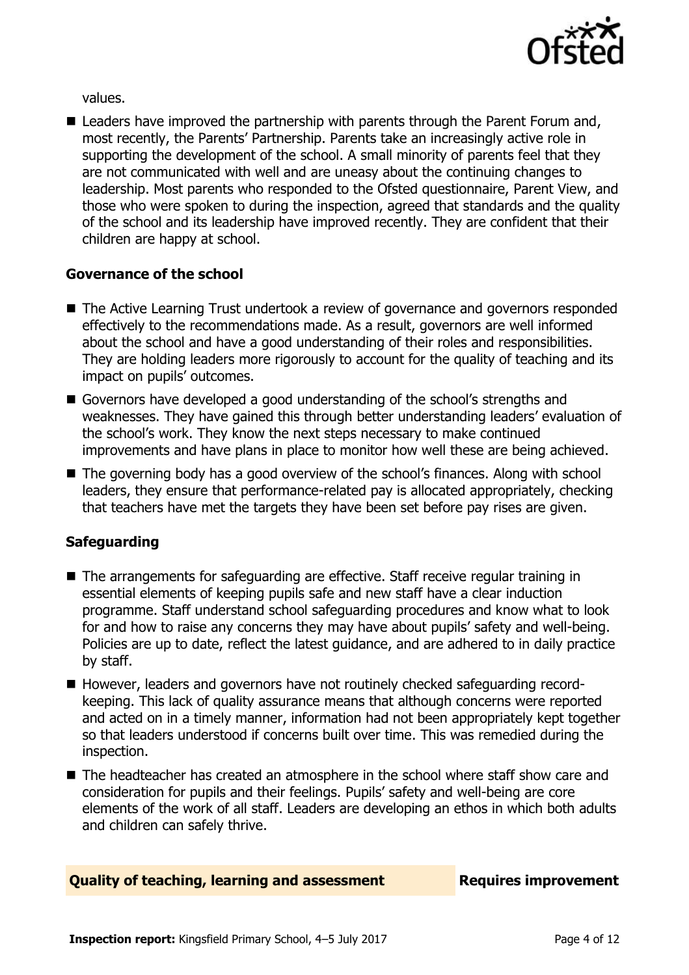

values.

■ Leaders have improved the partnership with parents through the Parent Forum and, most recently, the Parents' Partnership. Parents take an increasingly active role in supporting the development of the school. A small minority of parents feel that they are not communicated with well and are uneasy about the continuing changes to leadership. Most parents who responded to the Ofsted questionnaire, Parent View, and those who were spoken to during the inspection, agreed that standards and the quality of the school and its leadership have improved recently. They are confident that their children are happy at school.

#### **Governance of the school**

- The Active Learning Trust undertook a review of governance and governors responded effectively to the recommendations made. As a result, governors are well informed about the school and have a good understanding of their roles and responsibilities. They are holding leaders more rigorously to account for the quality of teaching and its impact on pupils' outcomes.
- Governors have developed a good understanding of the school's strengths and weaknesses. They have gained this through better understanding leaders' evaluation of the school's work. They know the next steps necessary to make continued improvements and have plans in place to monitor how well these are being achieved.
- The governing body has a good overview of the school's finances. Along with school leaders, they ensure that performance-related pay is allocated appropriately, checking that teachers have met the targets they have been set before pay rises are given.

#### **Safeguarding**

- The arrangements for safeguarding are effective. Staff receive regular training in essential elements of keeping pupils safe and new staff have a clear induction programme. Staff understand school safeguarding procedures and know what to look for and how to raise any concerns they may have about pupils' safety and well-being. Policies are up to date, reflect the latest guidance, and are adhered to in daily practice by staff.
- However, leaders and governors have not routinely checked safeguarding recordkeeping. This lack of quality assurance means that although concerns were reported and acted on in a timely manner, information had not been appropriately kept together so that leaders understood if concerns built over time. This was remedied during the inspection.
- The headteacher has created an atmosphere in the school where staff show care and consideration for pupils and their feelings. Pupils' safety and well-being are core elements of the work of all staff. Leaders are developing an ethos in which both adults and children can safely thrive.

#### **Quality of teaching, learning and assessment Requires improvement**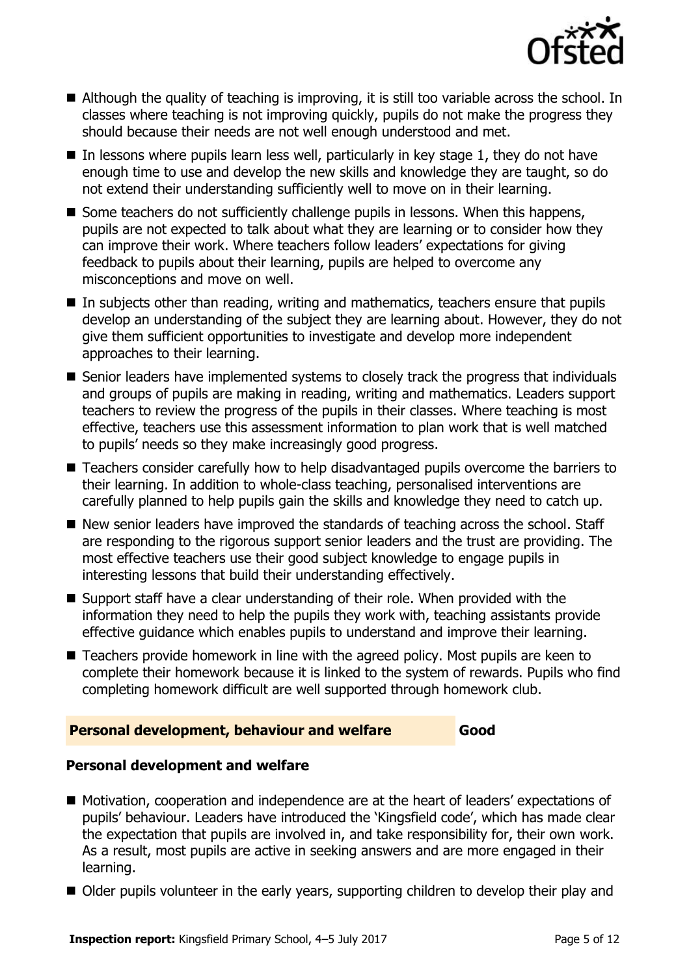

- Although the quality of teaching is improving, it is still too variable across the school. In classes where teaching is not improving quickly, pupils do not make the progress they should because their needs are not well enough understood and met.
- $\blacksquare$  In lessons where pupils learn less well, particularly in key stage 1, they do not have enough time to use and develop the new skills and knowledge they are taught, so do not extend their understanding sufficiently well to move on in their learning.
- Some teachers do not sufficiently challenge pupils in lessons. When this happens, pupils are not expected to talk about what they are learning or to consider how they can improve their work. Where teachers follow leaders' expectations for giving feedback to pupils about their learning, pupils are helped to overcome any misconceptions and move on well.
- In subjects other than reading, writing and mathematics, teachers ensure that pupils develop an understanding of the subject they are learning about. However, they do not give them sufficient opportunities to investigate and develop more independent approaches to their learning.
- Senior leaders have implemented systems to closely track the progress that individuals and groups of pupils are making in reading, writing and mathematics. Leaders support teachers to review the progress of the pupils in their classes. Where teaching is most effective, teachers use this assessment information to plan work that is well matched to pupils' needs so they make increasingly good progress.
- Teachers consider carefully how to help disadvantaged pupils overcome the barriers to their learning. In addition to whole-class teaching, personalised interventions are carefully planned to help pupils gain the skills and knowledge they need to catch up.
- New senior leaders have improved the standards of teaching across the school. Staff are responding to the rigorous support senior leaders and the trust are providing. The most effective teachers use their good subject knowledge to engage pupils in interesting lessons that build their understanding effectively.
- Support staff have a clear understanding of their role. When provided with the information they need to help the pupils they work with, teaching assistants provide effective guidance which enables pupils to understand and improve their learning.
- Teachers provide homework in line with the agreed policy. Most pupils are keen to complete their homework because it is linked to the system of rewards. Pupils who find completing homework difficult are well supported through homework club.

#### **Personal development, behaviour and welfare Good**

### **Personal development and welfare**

- Motivation, cooperation and independence are at the heart of leaders' expectations of pupils' behaviour. Leaders have introduced the 'Kingsfield code', which has made clear the expectation that pupils are involved in, and take responsibility for, their own work. As a result, most pupils are active in seeking answers and are more engaged in their learning.
- Older pupils volunteer in the early years, supporting children to develop their play and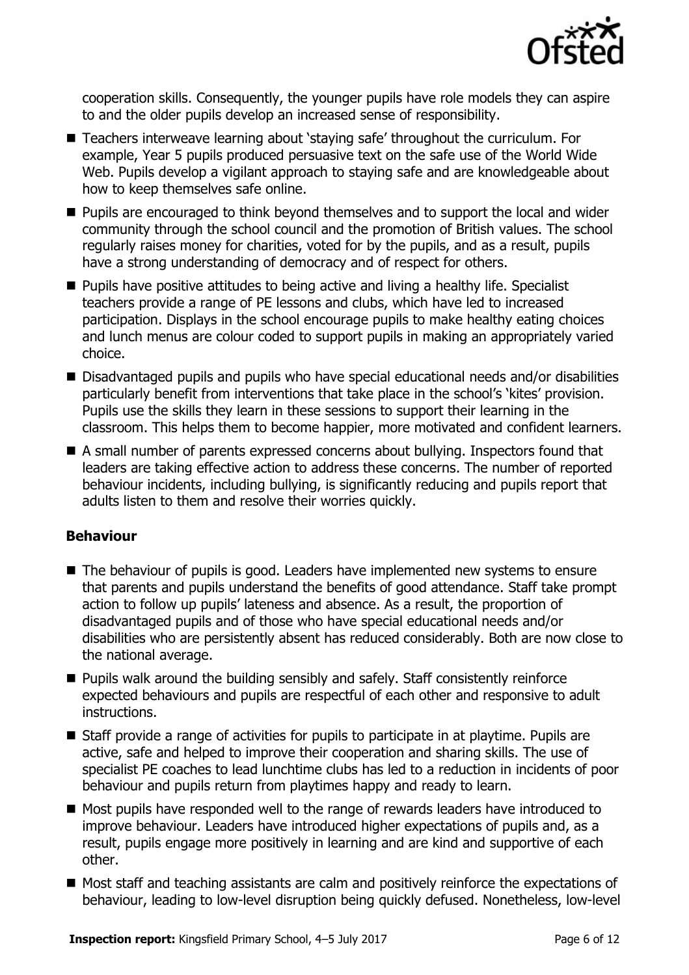

cooperation skills. Consequently, the younger pupils have role models they can aspire to and the older pupils develop an increased sense of responsibility.

- Teachers interweave learning about 'staying safe' throughout the curriculum. For example, Year 5 pupils produced persuasive text on the safe use of the World Wide Web. Pupils develop a vigilant approach to staying safe and are knowledgeable about how to keep themselves safe online.
- **Pupils are encouraged to think beyond themselves and to support the local and wider** community through the school council and the promotion of British values. The school regularly raises money for charities, voted for by the pupils, and as a result, pupils have a strong understanding of democracy and of respect for others.
- **Pupils have positive attitudes to being active and living a healthy life. Specialist** teachers provide a range of PE lessons and clubs, which have led to increased participation. Displays in the school encourage pupils to make healthy eating choices and lunch menus are colour coded to support pupils in making an appropriately varied choice.
- Disadvantaged pupils and pupils who have special educational needs and/or disabilities particularly benefit from interventions that take place in the school's 'kites' provision. Pupils use the skills they learn in these sessions to support their learning in the classroom. This helps them to become happier, more motivated and confident learners.
- A small number of parents expressed concerns about bullying. Inspectors found that leaders are taking effective action to address these concerns. The number of reported behaviour incidents, including bullying, is significantly reducing and pupils report that adults listen to them and resolve their worries quickly.

#### **Behaviour**

- The behaviour of pupils is good. Leaders have implemented new systems to ensure that parents and pupils understand the benefits of good attendance. Staff take prompt action to follow up pupils' lateness and absence. As a result, the proportion of disadvantaged pupils and of those who have special educational needs and/or disabilities who are persistently absent has reduced considerably. Both are now close to the national average.
- **Pupils walk around the building sensibly and safely. Staff consistently reinforce** expected behaviours and pupils are respectful of each other and responsive to adult instructions.
- Staff provide a range of activities for pupils to participate in at playtime. Pupils are active, safe and helped to improve their cooperation and sharing skills. The use of specialist PE coaches to lead lunchtime clubs has led to a reduction in incidents of poor behaviour and pupils return from playtimes happy and ready to learn.
- Most pupils have responded well to the range of rewards leaders have introduced to improve behaviour. Leaders have introduced higher expectations of pupils and, as a result, pupils engage more positively in learning and are kind and supportive of each other.
- Most staff and teaching assistants are calm and positively reinforce the expectations of behaviour, leading to low-level disruption being quickly defused. Nonetheless, low-level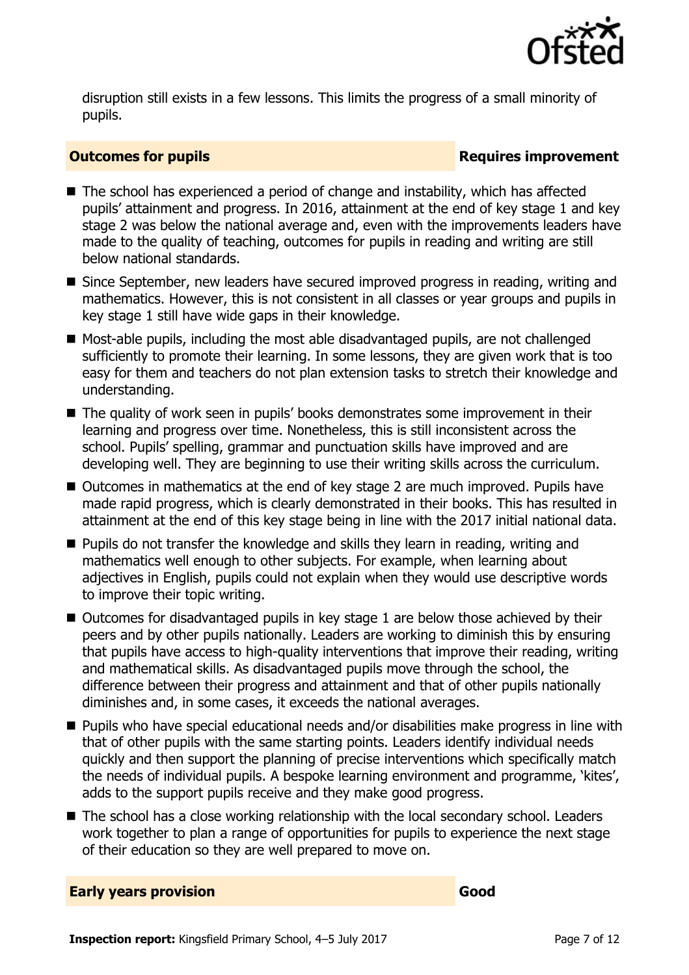

disruption still exists in a few lessons. This limits the progress of a small minority of pupils.

#### **Outcomes for pupils Requires improvement**

- The school has experienced a period of change and instability, which has affected pupils' attainment and progress. In 2016, attainment at the end of key stage 1 and key stage 2 was below the national average and, even with the improvements leaders have made to the quality of teaching, outcomes for pupils in reading and writing are still below national standards.
- Since September, new leaders have secured improved progress in reading, writing and mathematics. However, this is not consistent in all classes or year groups and pupils in key stage 1 still have wide gaps in their knowledge.
- Most-able pupils, including the most able disadvantaged pupils, are not challenged sufficiently to promote their learning. In some lessons, they are given work that is too easy for them and teachers do not plan extension tasks to stretch their knowledge and understanding.
- The quality of work seen in pupils' books demonstrates some improvement in their learning and progress over time. Nonetheless, this is still inconsistent across the school. Pupils' spelling, grammar and punctuation skills have improved and are developing well. They are beginning to use their writing skills across the curriculum.
- Outcomes in mathematics at the end of key stage 2 are much improved. Pupils have made rapid progress, which is clearly demonstrated in their books. This has resulted in attainment at the end of this key stage being in line with the 2017 initial national data.
- **Pupils do not transfer the knowledge and skills they learn in reading, writing and** mathematics well enough to other subjects. For example, when learning about adjectives in English, pupils could not explain when they would use descriptive words to improve their topic writing.
- $\blacksquare$  Outcomes for disadvantaged pupils in key stage 1 are below those achieved by their peers and by other pupils nationally. Leaders are working to diminish this by ensuring that pupils have access to high-quality interventions that improve their reading, writing and mathematical skills. As disadvantaged pupils move through the school, the difference between their progress and attainment and that of other pupils nationally diminishes and, in some cases, it exceeds the national averages.
- Pupils who have special educational needs and/or disabilities make progress in line with that of other pupils with the same starting points. Leaders identify individual needs quickly and then support the planning of precise interventions which specifically match the needs of individual pupils. A bespoke learning environment and programme, 'kites', adds to the support pupils receive and they make good progress.
- The school has a close working relationship with the local secondary school. Leaders work together to plan a range of opportunities for pupils to experience the next stage of their education so they are well prepared to move on.

| <b>Early years provision</b> | Good |
|------------------------------|------|
|------------------------------|------|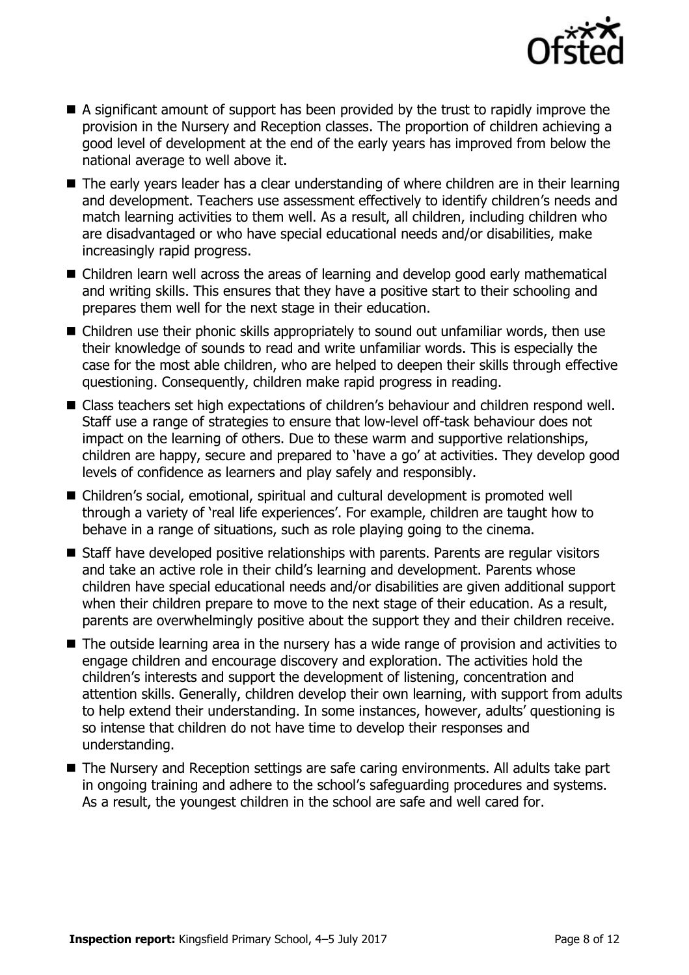

- A significant amount of support has been provided by the trust to rapidly improve the provision in the Nursery and Reception classes. The proportion of children achieving a good level of development at the end of the early years has improved from below the national average to well above it.
- The early years leader has a clear understanding of where children are in their learning and development. Teachers use assessment effectively to identify children's needs and match learning activities to them well. As a result, all children, including children who are disadvantaged or who have special educational needs and/or disabilities, make increasingly rapid progress.
- Children learn well across the areas of learning and develop good early mathematical and writing skills. This ensures that they have a positive start to their schooling and prepares them well for the next stage in their education.
- Children use their phonic skills appropriately to sound out unfamiliar words, then use their knowledge of sounds to read and write unfamiliar words. This is especially the case for the most able children, who are helped to deepen their skills through effective questioning. Consequently, children make rapid progress in reading.
- Class teachers set high expectations of children's behaviour and children respond well. Staff use a range of strategies to ensure that low-level off-task behaviour does not impact on the learning of others. Due to these warm and supportive relationships, children are happy, secure and prepared to 'have a go' at activities. They develop good levels of confidence as learners and play safely and responsibly.
- Children's social, emotional, spiritual and cultural development is promoted well through a variety of 'real life experiences'. For example, children are taught how to behave in a range of situations, such as role playing going to the cinema.
- Staff have developed positive relationships with parents. Parents are regular visitors and take an active role in their child's learning and development. Parents whose children have special educational needs and/or disabilities are given additional support when their children prepare to move to the next stage of their education. As a result, parents are overwhelmingly positive about the support they and their children receive.
- The outside learning area in the nursery has a wide range of provision and activities to engage children and encourage discovery and exploration. The activities hold the children's interests and support the development of listening, concentration and attention skills. Generally, children develop their own learning, with support from adults to help extend their understanding. In some instances, however, adults' questioning is so intense that children do not have time to develop their responses and understanding.
- The Nursery and Reception settings are safe caring environments. All adults take part in ongoing training and adhere to the school's safeguarding procedures and systems. As a result, the youngest children in the school are safe and well cared for.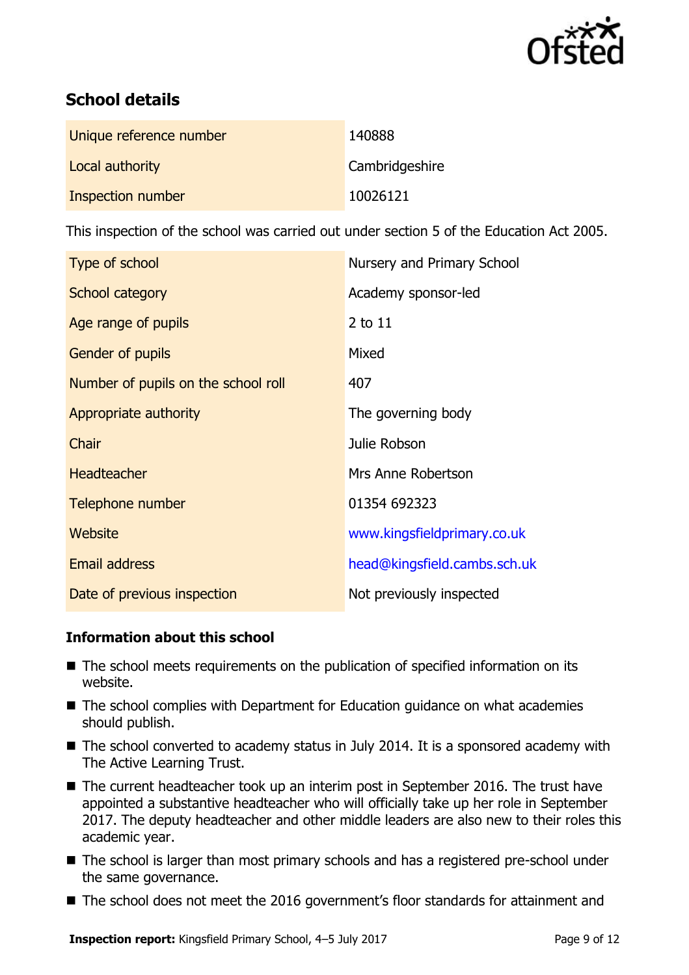

# **School details**

| Unique reference number | 140888         |
|-------------------------|----------------|
| Local authority         | Cambridgeshire |
| Inspection number       | 10026121       |

This inspection of the school was carried out under section 5 of the Education Act 2005.

| Type of school                      | Nursery and Primary School   |
|-------------------------------------|------------------------------|
| School category                     | Academy sponsor-led          |
| Age range of pupils                 | 2 to 11                      |
| Gender of pupils                    | Mixed                        |
| Number of pupils on the school roll | 407                          |
| Appropriate authority               | The governing body           |
| Chair                               | Julie Robson                 |
| <b>Headteacher</b>                  | Mrs Anne Robertson           |
| Telephone number                    | 01354 692323                 |
| Website                             | www.kingsfieldprimary.co.uk  |
| <b>Email address</b>                | head@kingsfield.cambs.sch.uk |
| Date of previous inspection         | Not previously inspected     |

#### **Information about this school**

- The school meets requirements on the publication of specified information on its website.
- The school complies with Department for Education guidance on what academies should publish.
- The school converted to academy status in July 2014. It is a sponsored academy with The Active Learning Trust.
- The current headteacher took up an interim post in September 2016. The trust have appointed a substantive headteacher who will officially take up her role in September 2017. The deputy headteacher and other middle leaders are also new to their roles this academic year.
- The school is larger than most primary schools and has a registered pre-school under the same governance.
- The school does not meet the 2016 government's floor standards for attainment and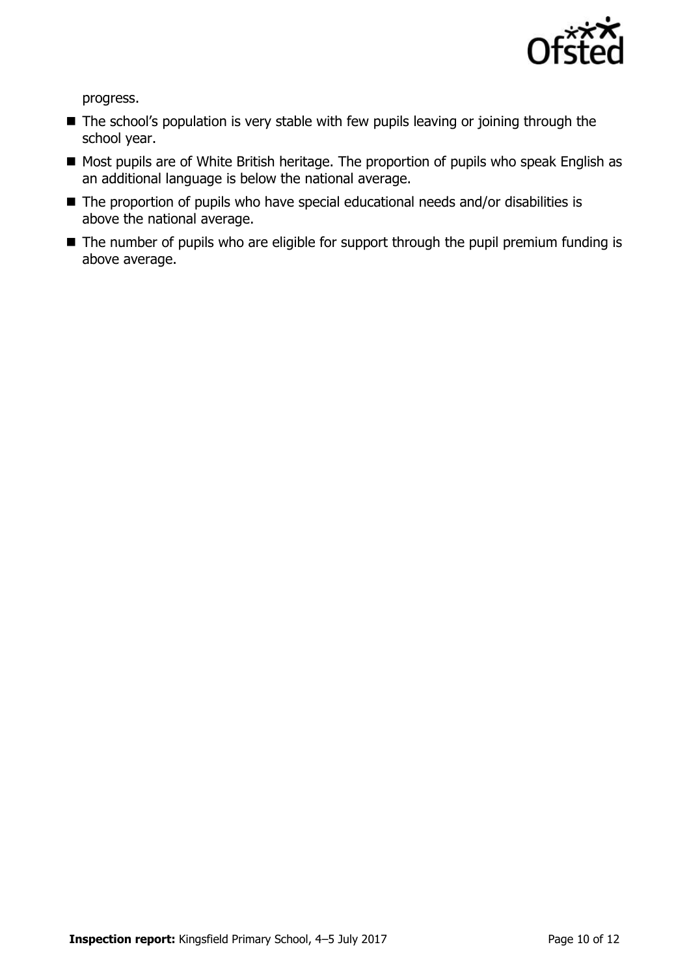

progress.

- The school's population is very stable with few pupils leaving or joining through the school year.
- Most pupils are of White British heritage. The proportion of pupils who speak English as an additional language is below the national average.
- The proportion of pupils who have special educational needs and/or disabilities is above the national average.
- The number of pupils who are eligible for support through the pupil premium funding is above average.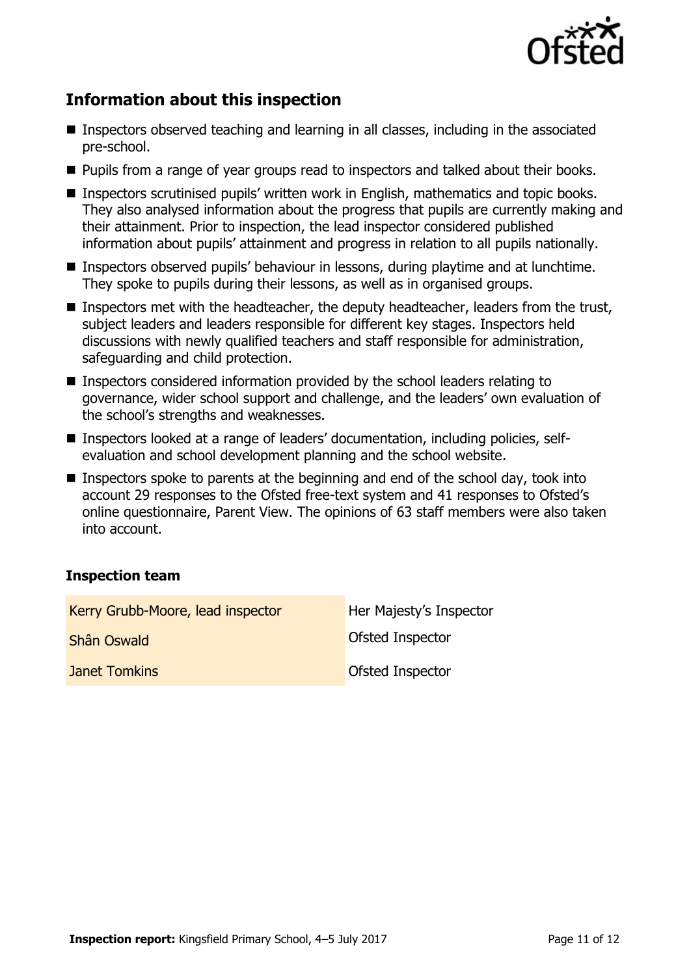

# **Information about this inspection**

- Inspectors observed teaching and learning in all classes, including in the associated pre-school.
- **Pupils from a range of year groups read to inspectors and talked about their books.**
- Inspectors scrutinised pupils' written work in English, mathematics and topic books. They also analysed information about the progress that pupils are currently making and their attainment. Prior to inspection, the lead inspector considered published information about pupils' attainment and progress in relation to all pupils nationally.
- **Inspectors observed pupils' behaviour in lessons, during playtime and at lunchtime.** They spoke to pupils during their lessons, as well as in organised groups.
- **Inspectors met with the headteacher, the deputy headteacher, leaders from the trust,** subject leaders and leaders responsible for different key stages. Inspectors held discussions with newly qualified teachers and staff responsible for administration, safeguarding and child protection.
- Inspectors considered information provided by the school leaders relating to governance, wider school support and challenge, and the leaders' own evaluation of the school's strengths and weaknesses.
- Inspectors looked at a range of leaders' documentation, including policies, selfevaluation and school development planning and the school website.
- Inspectors spoke to parents at the beginning and end of the school day, took into account 29 responses to the Ofsted free-text system and 41 responses to Ofsted's online questionnaire, Parent View. The opinions of 63 staff members were also taken into account.

#### **Inspection team**

| Kerry Grubb-Moore, lead inspector | Her Majesty's Inspector |
|-----------------------------------|-------------------------|
| <b>Shân Oswald</b>                | <b>Ofsted Inspector</b> |
| <b>Janet Tomkins</b>              | <b>Ofsted Inspector</b> |